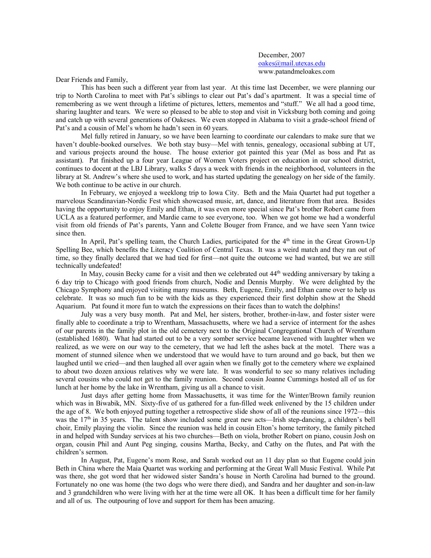December, 2007 oakes@mail.utexas.edu www.patandmeloakes.com

Dear Friends and Family,

This has been such a different year from last year. At this time last December, we were planning our trip to North Carolina to meet with Pat's siblings to clear out Pat's dad's apartment. It was a special time of remembering as we went through a lifetime of pictures, letters, mementos and "stuff." We all had a good time, sharing laughter and tears. We were so pleased to be able to stop and visit in Vicksburg both coming and going and catch up with several generations of Oakeses. We even stopped in Alabama to visit a grade-school friend of Pat's and a cousin of Mel's whom he hadn't seen in 60 years.

Mel fully retired in January, so we have been learning to coordinate our calendars to make sure that we haven't double-booked ourselves. We both stay busy—Mel with tennis, genealogy, occasional subbing at UT, and various projects around the house. The house exterior got painted this year (Mel as boss and Pat as assistant). Pat finished up a four year League of Women Voters project on education in our school district, continues to docent at the LBJ Library, walks 5 days a week with friends in the neighborhood, volunteers in the library at St. Andrew's where she used to work, and has started updating the genealogy on her side of the family. We both continue to be active in our church.

In February, we enjoyed a weeklong trip to Iowa City. Beth and the Maia Quartet had put together a marvelous Scandinavian-Nordic Fest which showcased music, art, dance, and literature from that area. Besides having the opportunity to enjoy Emily and Ethan, it was even more special since Pat's brother Robert came from UCLA as a featured performer, and Mardie came to see everyone, too. When we got home we had a wonderful visit from old friends of Pat's parents, Yann and Colette Bouger from France, and we have seen Yann twice since then.

In April, Pat's spelling team, the Church Ladies, participated for the  $4<sup>th</sup>$  time in the Great Grown-Up Spelling Bee, which benefits the Literacy Coalition of Central Texas. It was a weird match and they ran out of time, so they finally declared that we had tied for first—not quite the outcome we had wanted, but we are still technically undefeated!

In May, cousin Becky came for a visit and then we celebrated out 44th wedding anniversary by taking a 6 day trip to Chicago with good friends from church, Nodie and Dennis Murphy. We were delighted by the Chicago Symphony and enjoyed visiting many museums. Beth, Eugene, Emily, and Ethan came over to help us celebrate. It was so much fun to be with the kids as they experienced their first dolphin show at the Shedd Aquarium. Pat found it more fun to watch the expressions on their faces than to watch the dolphins!

July was a very busy month. Pat and Mel, her sisters, brother, brother-in-law, and foster sister were finally able to coordinate a trip to Wrentham, Massachusetts, where we had a service of interment for the ashes of our parents in the family plot in the old cemetery next to the Original Congregational Church of Wrentham (established 1680). What had started out to be a very somber service became leavened with laughter when we realized, as we were on our way to the cemetery, that we had left the ashes back at the motel. There was a moment of stunned silence when we understood that we would have to turn around and go back, but then we laughed until we cried—and then laughed all over again when we finally got to the cemetery where we explained to about two dozen anxious relatives why we were late. It was wonderful to see so many relatives including several cousins who could not get to the family reunion. Second cousin Joanne Cummings hosted all of us for lunch at her home by the lake in Wrentham, giving us all a chance to visit.

Just days after getting home from Massachusetts, it was time for the Winter/Brown family reunion which was in Biwabik, MN. Sixty-five of us gathered for a fun-filled week enlivened by the 15 children under the age of 8. We both enjoyed putting together a retrospective slide show of all of the reunions since 1972—this was the 17<sup>th</sup> in 35 years. The talent show included some great new acts—Irish step-dancing, a children's bell choir, Emily playing the violin. Since the reunion was held in cousin Elton's home territory, the family pitched in and helped with Sunday services at his two churches—Beth on viola, brother Robert on piano, cousin Josh on organ, cousin Phil and Aunt Peg singing, cousins Martha, Becky, and Cathy on the flutes, and Pat with the children's sermon.

In August, Pat, Eugene's mom Rose, and Sarah worked out an 11 day plan so that Eugene could join Beth in China where the Maia Quartet was working and performing at the Great Wall Music Festival. While Pat was there, she got word that her widowed sister Sandra's house in North Carolina had burned to the ground. Fortunately no one was home (the two dogs who were there died), and Sandra and her daughter and son-in-law and 3 grandchildren who were living with her at the time were all OK. It has been a difficult time for her family and all of us. The outpouring of love and support for them has been amazing.